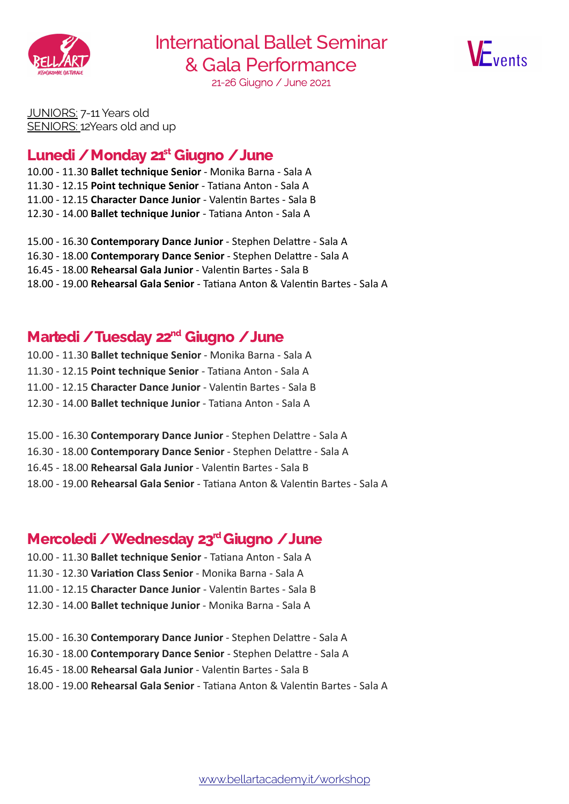

International Ballet Seminar & Gala Performance 21-26 Giugno / June 2021



JUNIORS: 7-11 Years old SENIORS: 12Years old and up

### Lunedi / Monday 21<sup>st</sup> Giugno / June

10.00 - 11.30 Ballet technique Senior - Monika Barna - Sala A 11.30 - 12.15 Point technique Senior - Tatiana Anton - Sala A 11.00 - 12.15 Character Dance Junior - Valentin Bartes - Sala B 12.30 - 14.00 Ballet technique Junior - Tatiana Anton - Sala A

15.00 - 16.30 Contemporary Dance Junior - Stephen Delattre - Sala A 16.30 - 18.00 Contemporary Dance Senior - Stephen Delattre - Sala A 16.45 - 18.00 Rehearsal Gala Junior - Valentin Bartes - Sala B 18.00 - 19.00 Rehearsal Gala Senior - Tatiana Anton & Valentin Bartes - Sala A

#### Martedi / Tuesday 22<sup>nd</sup> Giugno / June

10.00 - 11.30 Ballet technique Senior - Monika Barna - Sala A 11.30 - 12.15 Point technique Senior - Tatiana Anton - Sala A 11.00 - 12.15 Character Dance Junior - Valentin Bartes - Sala B 12.30 - 14.00 Ballet technique Junior - Tatiana Anton - Sala A

15.00 - 16.30 Contemporary Dance Junior - Stephen Delattre - Sala A 16.30 - 18.00 Contemporary Dance Senior - Stephen Delattre - Sala A 16.45 - 18.00 Rehearsal Gala Junior - Valentin Bartes - Sala B 18.00 - 19.00 Rehearsal Gala Senior - Tatiana Anton & Valentin Bartes - Sala A

# Mercoledi / Wednesday 23<sup>rd</sup> Giugno / June

- 10.00 11.30 Ballet technique Senior Tatiana Anton Sala A 11.30 - 12.30 Variation Class Senior - Monika Barna - Sala A 11.00 - 12.15 Character Dance Junior - Valentin Bartes - Sala B 12.30 - 14.00 Ballet technique Junior - Monika Barna - Sala A
- 15.00 16.30 Contemporary Dance Junior Stephen Delattre Sala A 16.30 - 18.00 Contemporary Dance Senior - Stephen Delattre - Sala A 16.45 - 18.00 Rehearsal Gala Junior - Valentin Bartes - Sala B 18.00 - 19.00 Rehearsal Gala Senior - Tatiana Anton & Valentin Bartes - Sala A